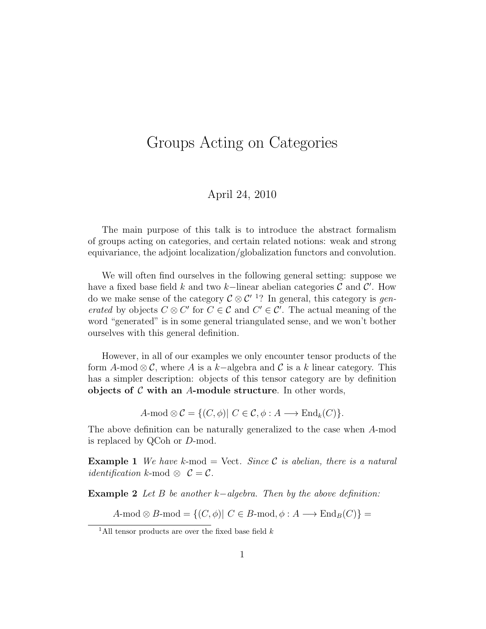## Groups Acting on Categories

## April 24, 2010

The main purpose of this talk is to introduce the abstract formalism of groups acting on categories, and certain related notions: weak and strong equivariance, the adjoint localization/globalization functors and convolution.

We will often find ourselves in the following general setting: suppose we have a fixed base field k and two k–linear abelian categories  $\mathcal C$  and  $\mathcal C'$ . How do we make sense of the category  $\mathcal{C} \otimes \mathcal{C}'$  <sup>1</sup>? In general, this category is *gen*erated by objects  $C \otimes C'$  for  $C \in \mathcal{C}$  and  $C' \in \mathcal{C}'$ . The actual meaning of the word "generated" is in some general triangulated sense, and we won't bother ourselves with this general definition.

However, in all of our examples we only encounter tensor products of the form A-mod  $\otimes \mathcal{C}$ , where A is a k-algebra and C is a k linear category. This has a simpler description: objects of this tensor category are by definition objects of  $\mathcal C$  with an A-module structure. In other words,

A-mod  $\otimes \mathcal{C} = \{ (C, \phi) | C \in \mathcal{C}, \phi : A \longrightarrow \text{End}_k(C) \}.$ 

The above definition can be naturally generalized to the case when A-mod is replaced by QCoh or D-mod.

**Example 1** We have k-mod  $=$  Vect. Since C is abelian, there is a natural *identification* k-mod  $\otimes$   $C = C$ .

**Example 2** Let B be another k–algebra. Then by the above definition:

A-mod  $\otimes$  B-mod = { $(C, \phi)$ |  $C \in B$ -mod,  $\phi : A \longrightarrow \text{End}_B(C)$ } =

<sup>&</sup>lt;sup>1</sup>All tensor products are over the fixed base field  $k$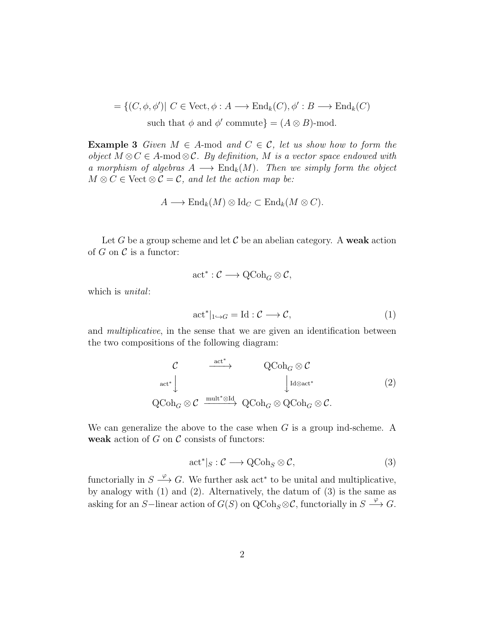$=\{(C, \phi, \phi')|\ C \in \text{Vect}, \phi: A \longrightarrow \text{End}_k(C), \phi': B \longrightarrow \text{End}_k(C)$ such that  $\phi$  and  $\phi'$  commute} =  $(A \otimes B)$ -mod.

**Example 3** Given  $M \in A$ -mod and  $C \in C$ , let us show how to form the object  $M \otimes C \in A$ -mod $\otimes C$ . By definition, M is a vector space endowed with a morphism of algebras  $A \longrightarrow \text{End}_k(M)$ . Then we simply form the object  $M \otimes C \in$  Vect  $\otimes C = C$ , and let the action map be:

$$
A \longrightarrow \text{End}_{k}(M) \otimes \text{Id}_{C} \subset \text{End}_{k}(M \otimes C).
$$

Let G be a group scheme and let C be an abelian category. A weak action of  $G$  on  $\mathcal C$  is a functor:

$$
\operatorname{act}^* : \mathcal{C} \longrightarrow \operatorname{QCoh}_G \otimes \mathcal{C},
$$

which is *unital*:

$$
\operatorname{act}^*|_{1 \hookrightarrow G} = \operatorname{Id} : \mathcal{C} \longrightarrow \mathcal{C},\tag{1}
$$

and multiplicative, in the sense that we are given an identification between the two compositions of the following diagram:

$$
\begin{array}{ccc}\n\mathcal{C} & \xrightarrow{\operatorname{act}^*} & \operatorname{QCoh}_G \otimes \mathcal{C} \\
\operatorname{act}^* & & \downarrow^{\operatorname{Id} \otimes \operatorname{act}^*} \\
\operatorname{QCoh}_G \otimes \mathcal{C} & \xrightarrow{\operatorname{mult}^* \otimes \operatorname{Id}} & \operatorname{QCoh}_G \otimes \operatorname{QCoh}_G \otimes \mathcal{C}.\n\end{array} \tag{2}
$$

We can generalize the above to the case when  $G$  is a group ind-scheme. A weak action of  $G$  on  $\mathcal C$  consists of functors:

$$
\operatorname{act}^*|_S : \mathcal{C} \longrightarrow \operatorname{QCoh}_S \otimes \mathcal{C},\tag{3}
$$

functorially in  $S \stackrel{\varphi}{\longrightarrow} G$ . We further ask act<sup>\*</sup> to be unital and multiplicative, by analogy with (1) and (2). Alternatively, the datum of (3) is the same as asking for an S-linear action of  $G(S)$  on  $\mathrm{QCoh}_S \otimes \mathcal{C}$ , functorially in  $S \stackrel{\varphi}{\longrightarrow} G$ .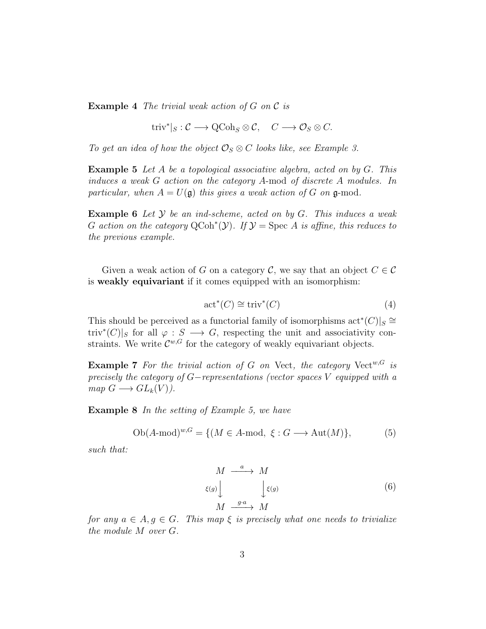**Example 4** The trivial weak action of G on C is

 $\mathrm{triv}^*|_S : \mathcal{C} \longrightarrow \mathrm{QCoh}_S \otimes \mathcal{C}, \quad C \longrightarrow \mathcal{O}_S \otimes C.$ 

To get an idea of how the object  $\mathcal{O}_S \otimes C$  looks like, see Example 3.

**Example 5** Let A be a topological associative algebra, acted on by  $G$ . This induces a weak G action on the category A-mod of discrete A modules. In particular, when  $A = U(\mathfrak{g})$  this gives a weak action of G on  $\mathfrak{g}\text{-mod}$ .

**Example 6** Let  $Y$  be an ind-scheme, acted on by  $G$ . This induces a weak G action on the category QCoh<sup>\*</sup>(Y). If  $\mathcal{Y} = \text{Spec } A$  is affine, this reduces to the previous example.

Given a weak action of G on a category C, we say that an object  $C \in \mathcal{C}$ is weakly equivariant if it comes equipped with an isomorphism:

$$
act^*(C) \cong triv^*(C)
$$
 (4)

This should be perceived as a functorial family of isomorphisms  $\text{act}^*(C)|_S \cong$ triv<sup>\*</sup>(C)|s for all  $\varphi : S \longrightarrow G$ , respecting the unit and associativity constraints. We write  $\mathcal{C}^{w,G}$  for the category of weakly equivariant objects.

**Example 7** For the trivial action of G on Vect, the category Vect<sup>w,G</sup> is precisely the category of G−representations (vector spaces V equipped with a  $map G \longrightarrow GL_k(V)$ .

Example 8 In the setting of Example 5, we have

$$
Ob(A-mod)^{w,G} = \{ (M \in A\text{-mod}, \xi : G \longrightarrow Aut(M) \},
$$
 (5)

such that:

$$
M \xrightarrow{a} M
$$
  
\n
$$
\xi(g) \downarrow \qquad \qquad \downarrow \xi(g)
$$
  
\n
$$
M \xrightarrow{g \cdot a} M
$$
  
\n(6)

for any  $a \in A, g \in G$ . This map  $\xi$  is precisely what one needs to trivialize the module M over G.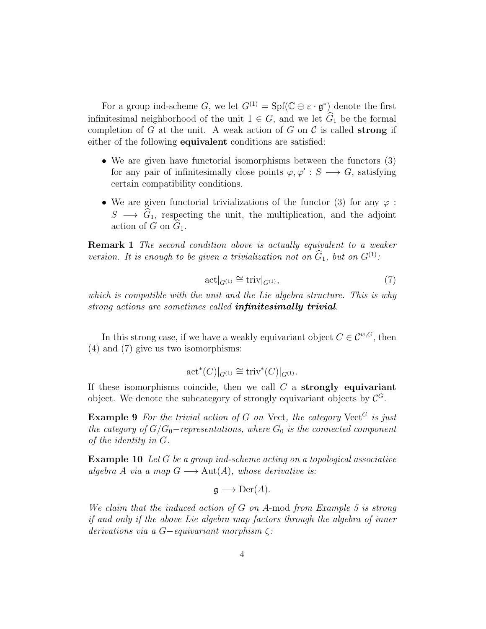For a group ind-scheme G, we let  $G^{(1)} = Spf(\mathbb{C} \oplus \varepsilon \cdot \mathfrak{g}^*)$  denote the first infinitesimal neighborhood of the unit  $1 \in G$ , and we let  $\widehat{G}_1$  be the formal completion of G at the unit. A weak action of G on  $\mathcal C$  is called **strong** if either of the following equivalent conditions are satisfied:

- We are given have functorial isomorphisms between the functors  $(3)$ for any pair of infinitesimally close points  $\varphi, \varphi' : S \longrightarrow G$ , satisfying certain compatibility conditions.
- We are given functorial trivializations of the functor (3) for any  $\varphi$ :  $S \longrightarrow \hat{G}_1$ , respecting the unit, the multiplication, and the adjoint action of G on  $\hat{G}_1$ .

**Remark 1** The second condition above is actually equivalent to a weaker version. It is enough to be given a trivialization not on  $\widehat{G}_1$ , but on  $G^{(1)}$ :

$$
\operatorname{act}|_{G^{(1)}} \cong \operatorname{triv}|_{G^{(1)}},\tag{7}
$$

which is compatible with the unit and the Lie algebra structure. This is why strong actions are sometimes called **infinitesimally trivial**.

In this strong case, if we have a weakly equivariant object  $C \in \mathcal{C}^{w,G}$ , then (4) and (7) give us two isomorphisms:

$$
\mathrm{act}^*(C)|_{G^{(1)}} \cong \mathrm{triv}^*(C)|_{G^{(1)}}.
$$

If these isomorphisms coincide, then we call  $C$  a **strongly equivariant** object. We denote the subcategory of strongly equivariant objects by  $\mathcal{C}^G$ .

**Example 9** For the trivial action of G on Vect, the category Vect<sup>G</sup> is just the category of  $G/G_0$ -representations, where  $G_0$  is the connected component of the identity in G.

Example 10 Let G be a group ind-scheme acting on a topological associative algebra A via a map  $G \longrightarrow Aut(A)$ , whose derivative is:

$$
\mathfrak{g}\longrightarrow \mathrm{Der}(A).
$$

We claim that the induced action of G on A-mod from Example 5 is strong if and only if the above Lie algebra map factors through the algebra of inner derivations via a G−equivariant morphism  $\zeta$ :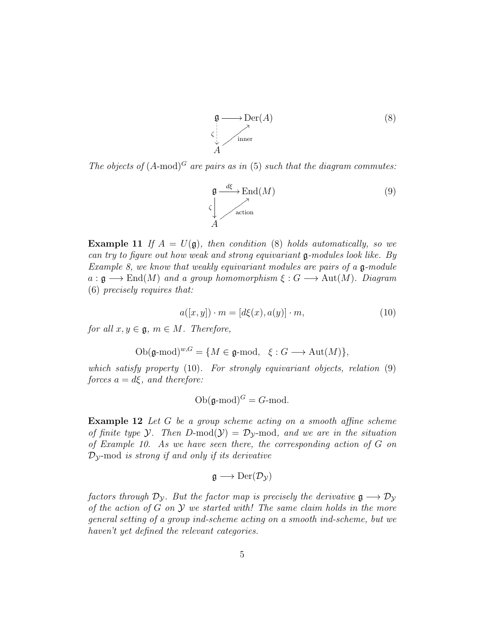$$
\mathfrak{g} \longrightarrow \mathrm{Der}(A) \tag{8}
$$
\n
$$
\sum_{A}^{\mathfrak{g}} \longrightarrow \text{Inner}
$$

The objects of  $(A\text{-mod})^G$  are pairs as in (5) such that the diagram commutes:

$$
\mathfrak{g} \xrightarrow{d\xi} \text{End}(M) \tag{9}
$$
\n
$$
\zeta \downarrow \qquad \qquad \text{action}
$$

**Example 11** If  $A = U(\mathfrak{g})$ , then condition (8) holds automatically, so we can try to figure out how weak and strong equivariant g-modules look like. By Example 8, we know that weakly equivariant modules are pairs of a  $\mathfrak{g}\text{-module}$  $a : \mathfrak{g} \longrightarrow \text{End}(M)$  and a group homomorphism  $\xi : G \longrightarrow \text{Aut}(M)$ . Diagram (6) precisely requires that:

$$
a([x, y]) \cdot m = [d\xi(x), a(y)] \cdot m,\tag{10}
$$

for all  $x, y \in \mathfrak{g}, m \in M$ . Therefore,

Ob
$$
(\mathfrak{g}\text{-mod})^{w,G} = \{M \in \mathfrak{g}\text{-mod}, \xi : G \longrightarrow \text{Aut}(M)\},
$$

which satisfy property (10). For strongly equivariant objects, relation (9) forces  $a = d\xi$ , and therefore:

$$
Ob(\mathfrak{g}\text{-mod})^G = G\text{-mod}.
$$

Example 12 Let G be a group scheme acting on a smooth affine scheme of finite type Y. Then  $D\text{-mod}(\mathcal{Y}) = \mathcal{D}_{\mathcal{Y}}$ -mod, and we are in the situation of Example 10. As we have seen there, the corresponding action of G on  $\mathcal{D}_{\mathcal{V}}$ -mod is strong if and only if its derivative

$$
\mathfrak{g}\longrightarrow \mathrm{Der}(\mathcal{D}_\mathcal{Y})
$$

factors through  $\mathcal{D}_{\mathcal{Y}}$ . But the factor map is precisely the derivative  $\mathfrak{g} \longrightarrow \mathcal{D}_{\mathcal{Y}}$ of the action of  $G$  on  $Y$  we started with! The same claim holds in the more general setting of a group ind-scheme acting on a smooth ind-scheme, but we haven't yet defined the relevant categories.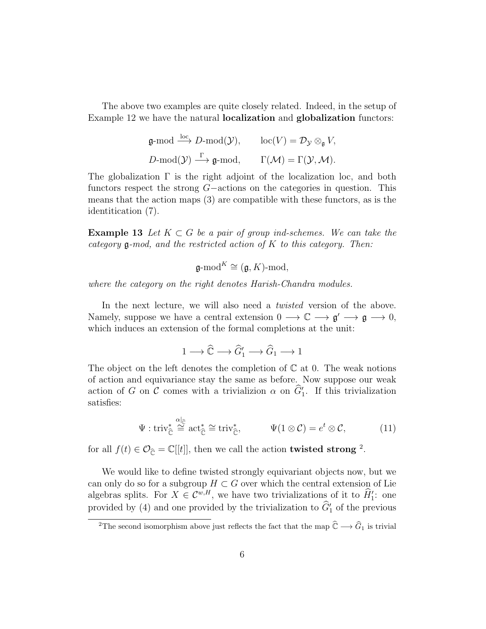The above two examples are quite closely related. Indeed, in the setup of Example 12 we have the natural localization and globalization functors:

$$
\mathfrak{g}\text{-mod} \xrightarrow{\text{loc}} D\text{-mod}(\mathcal{Y}), \quad \text{loc}(V) = \mathcal{D}_{\mathcal{Y}} \otimes_{\mathfrak{g}} V,
$$
  

$$
D\text{-mod}(\mathcal{Y}) \xrightarrow{\Gamma} \mathfrak{g}\text{-mod}, \quad \Gamma(\mathcal{M}) = \Gamma(\mathcal{Y}, \mathcal{M}).
$$

The globalization Γ is the right adjoint of the localization loc, and both functors respect the strong G−actions on the categories in question. This means that the action maps (3) are compatible with these functors, as is the identitication (7).

**Example 13** Let  $K \subset G$  be a pair of group ind-schemes. We can take the category  $\mathfrak g$ -mod, and the restricted action of K to this category. Then:

$$
\mathfrak{g}\text{-mod}^K \cong (\mathfrak{g}, K)\text{-mod},
$$

where the category on the right denotes Harish-Chandra modules.

In the next lecture, we will also need a *twisted* version of the above. Namely, suppose we have a central extension  $0 \longrightarrow \mathbb{C} \longrightarrow \mathfrak{g}' \longrightarrow \mathfrak{g} \longrightarrow 0$ , which induces an extension of the formal completions at the unit:

$$
1 \longrightarrow \widehat{\mathbb{C}} \longrightarrow \widehat{G}'_1 \longrightarrow \widehat{G}_1 \longrightarrow 1
$$

The object on the left denotes the completion of  $\mathbb C$  at 0. The weak notions of action and equivariance stay the same as before. Now suppose our weak action of G on C comes with a trivializion  $\alpha$  on  $\hat{G}'_1$ . If this trivialization satisfies:

$$
\Psi: \operatorname{triv}_{\widehat{\mathbb{C}}}^* \stackrel{\alpha|_{\widehat{\mathbb{C}}}}{\cong} \operatorname{act}_{\widehat{\mathbb{C}}}^* \cong \operatorname{triv}_{\widehat{\mathbb{C}}}^*, \qquad \Psi(1 \otimes \mathcal{C}) = e^t \otimes \mathcal{C}, \qquad (11)
$$

for all  $f(t) \in \mathcal{O}_{\widehat{\mathbb{C}}} = \mathbb{C}[[t]],$  then we call the action **twisted strong** <sup>2</sup>.

We would like to define twisted strongly equivariant objects now, but we can only do so for a subgroup  $H \subset G$  over which the central extension of Lie algebras splits. For  $X \in \mathcal{C}^{w,H}$ , we have two trivializations of it to  $\hat{H}'_1$ : one provided by (4) and one provided by the trivialization to  $\hat{G}'_1$  of the previous

<sup>&</sup>lt;sup>2</sup>The second isomorphism above just reflects the fact that the map  $\hat{\mathbb{C}} \longrightarrow \hat{G}_1$  is trivial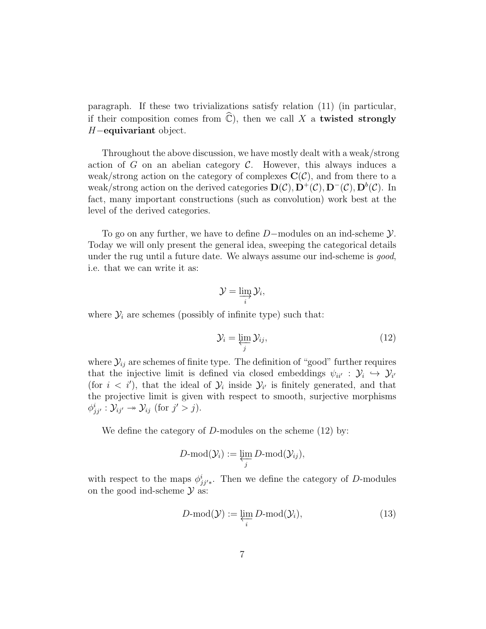paragraph. If these two trivializations satisfy relation (11) (in particular, if their composition comes from  $\mathbb{C}$ ), then we call X a twisted strongly H−equivariant object.

Throughout the above discussion, we have mostly dealt with a weak/strong action of G on an abelian category  $\mathcal{C}$ . However, this always induces a weak/strong action on the category of complexes  $\mathbf{C}(\mathcal{C})$ , and from there to a weak/strong action on the derived categories  $\mathbf{D}(\mathcal{C}), \mathbf{D}^+(\mathcal{C}), \mathbf{D}^-(\mathcal{C}), \mathbf{D}^b(\mathcal{C})$ . In fact, many important constructions (such as convolution) work best at the level of the derived categories.

To go on any further, we have to define D−modules on an ind-scheme Y. Today we will only present the general idea, sweeping the categorical details under the rug until a future date. We always assume our ind-scheme is *good*, i.e. that we can write it as:

$$
\mathcal{Y}=\varinjlim_{i}\mathcal{Y}_{i},
$$

where  $\mathcal{Y}_i$  are schemes (possibly of infinite type) such that:

$$
\mathcal{Y}_i = \varprojlim_j \mathcal{Y}_{ij},\tag{12}
$$

where  $\mathcal{Y}_{ij}$  are schemes of finite type. The definition of "good" further requires that the injective limit is defined via closed embeddings  $\psi_{ii'} : \mathcal{Y}_i \hookrightarrow \mathcal{Y}_{i'}$ (for  $i < i'$ ), that the ideal of  $\mathcal{Y}_i$  inside  $\mathcal{Y}_{i'}$  is finitely generated, and that the projective limit is given with respect to smooth, surjective morphisms  $\phi_{jj'}^i : \mathcal{Y}_{ij'} \to \mathcal{Y}_{ij}$  (for  $j' > j$ ).

We define the category of  $D$ -modules on the scheme  $(12)$  by:

$$
D\text{-mod}(\mathcal{Y}_i):=\varprojlim_j D\text{-mod}(\mathcal{Y}_{ij}),
$$

with respect to the maps  $\phi_{jj'*}^i$ . Then we define the category of D-modules on the good ind-scheme  $\mathcal Y$  as:

$$
D\text{-mod}(\mathcal{Y}) := \varprojlim_{i} D\text{-mod}(\mathcal{Y}_{i}),\tag{13}
$$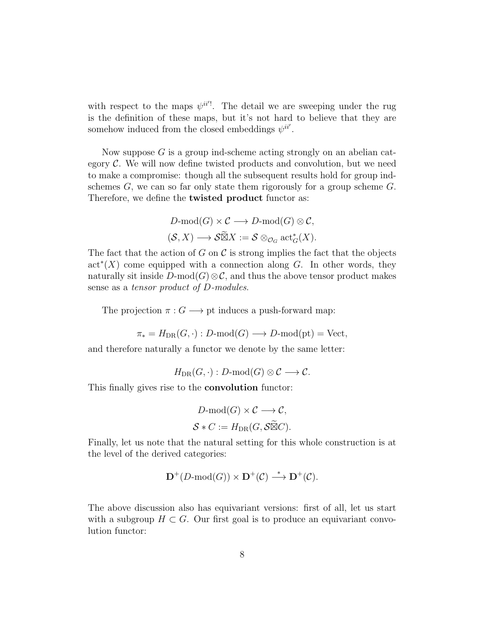with respect to the maps  $\psi^{ii'}$ . The detail we are sweeping under the rug is the definition of these maps, but it's not hard to believe that they are somehow induced from the closed embeddings  $\psi^{ii'}$ .

Now suppose  $G$  is a group ind-scheme acting strongly on an abelian category  $\mathcal{C}$ . We will now define twisted products and convolution, but we need to make a compromise: though all the subsequent results hold for group indschemes  $G$ , we can so far only state them rigorously for a group scheme  $G$ . Therefore, we define the **twisted product** functor as:

$$
D\text{-mod}(G) \times C \longrightarrow D\text{-mod}(G) \otimes C,
$$
  

$$
(\mathcal{S}, X) \longrightarrow \widetilde{\mathfrak{B}X} := \mathcal{S} \otimes_{\mathcal{O}_G} \text{act}_G^*(X).
$$

The fact that the action of G on C is strong implies the fact that the objects  $\text{act}^*(X)$  come equipped with a connection along G. In other words, they naturally sit inside  $D\text{-mod}(G)\otimes\mathcal{C}$ , and thus the above tensor product makes sense as a *tensor product of D-modules*.

The projection  $\pi: G \longrightarrow \mathsf{pt}$  induces a push-forward map:

$$
\pi_* = H_{\text{DR}}(G, \cdot) : D\text{-mod}(G) \longrightarrow D\text{-mod}(\text{pt}) = \text{Vect},
$$

and therefore naturally a functor we denote by the same letter:

$$
H_{\mathrm{DR}}(G,\cdot): D\text{-}\mathrm{mod}(G)\otimes \mathcal{C}\longrightarrow \mathcal{C}.
$$

This finally gives rise to the convolution functor:

$$
D\text{-mod}(G) \times C \longrightarrow C,
$$
  

$$
S * C := H_{DR}(G, \mathcal{S} \widetilde{\boxtimes} C).
$$

Finally, let us note that the natural setting for this whole construction is at the level of the derived categories:

$$
\mathbf{D}^+(D\text{-mod}(G)) \times \mathbf{D}^+(\mathcal{C}) \stackrel{*}{\longrightarrow} \mathbf{D}^+(\mathcal{C}).
$$

The above discussion also has equivariant versions: first of all, let us start with a subgroup  $H \subset G$ . Our first goal is to produce an equivariant convolution functor: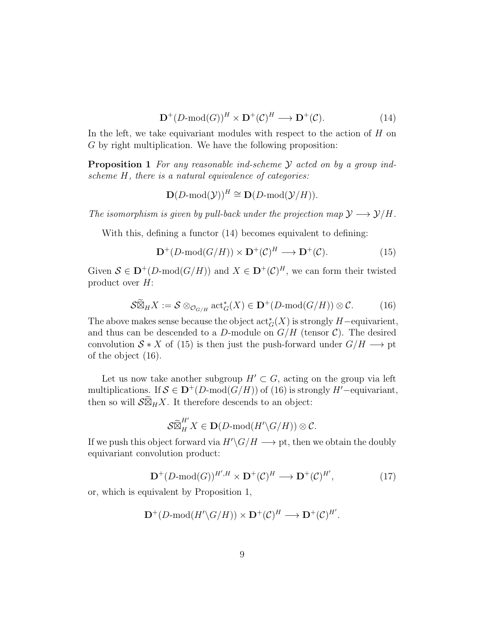$$
\mathbf{D}^+(D\text{-mod}(G))^H \times \mathbf{D}^+(\mathcal{C})^H \longrightarrow \mathbf{D}^+(\mathcal{C}).\tag{14}
$$

In the left, we take equivariant modules with respect to the action of H on G by right multiplication. We have the following proposition:

**Proposition 1** For any reasonable ind-scheme  $\mathcal{Y}$  acted on by a group indscheme H, there is a natural equivalence of categories:

$$
\mathbf{D}(D\text{-mod}(\mathcal{Y}))^H \cong \mathbf{D}(D\text{-mod}(\mathcal{Y}/H)).
$$

The isomorphism is given by pull-back under the projection map  $\mathcal{Y} \longrightarrow \mathcal{Y}/H$ .

With this, defining a functor (14) becomes equivalent to defining:

$$
\mathbf{D}^+(D\text{-mod}(G/H)) \times \mathbf{D}^+(\mathcal{C})^H \longrightarrow \mathbf{D}^+(\mathcal{C}).\tag{15}
$$

Given  $\mathcal{S} \in \mathbf{D}^{+}(D\text{-mod}(G/H))$  and  $X \in \mathbf{D}^{+}(\mathcal{C})^H$ , we can form their twisted product over  $H$ :

$$
\mathcal{S}\widetilde{\boxtimes}_H X := \mathcal{S} \otimes_{\mathcal{O}_{G/H}} \mathrm{act}_{G}^*(X) \in \mathbf{D}^+(D\text{-}\mathrm{mod}(G/H)) \otimes \mathcal{C}.
$$
 (16)

The above makes sense because the object  $\operatorname{act}^*_{G}(X)$  is strongly  $H$ -equivarient, and thus can be descended to a D-module on  $G/H$  (tensor C). The desired convolution  $S \times X$  of (15) is then just the push-forward under  $G/H \longrightarrow pt$ of the object (16).

Let us now take another subgroup  $H' \subset G$ , acting on the group via left multiplications. If  $S \in \mathbf{D}^{+}(D\text{-mod}(G/H))$  of (16) is strongly  $H'$ -equivariant, then so will  $\mathcal{S} \widetilde{\boxtimes}_H X$ . It therefore descends to an object:

$$
\mathcal{S}\widetilde{\boxtimes}^{H'}_H X \in \mathbf{D}(D\text{-}\mathrm{mod}(H'\backslash G/H)) \otimes \mathcal{C}.
$$

If we push this object forward via  $H'\G/H \longrightarrow$  pt, then we obtain the doubly equivariant convolution product:

$$
\mathbf{D}^+(D\text{-mod}(G))^{H',H} \times \mathbf{D}^+(\mathcal{C})^H \longrightarrow \mathbf{D}^+(\mathcal{C})^{H'},\tag{17}
$$

or, which is equivalent by Proposition 1,

$$
\mathbf{D}^+(D\text{-mod}(H'\backslash G/H)) \times \mathbf{D}^+(\mathcal{C})^H \longrightarrow \mathbf{D}^+(\mathcal{C})^{H'}.
$$